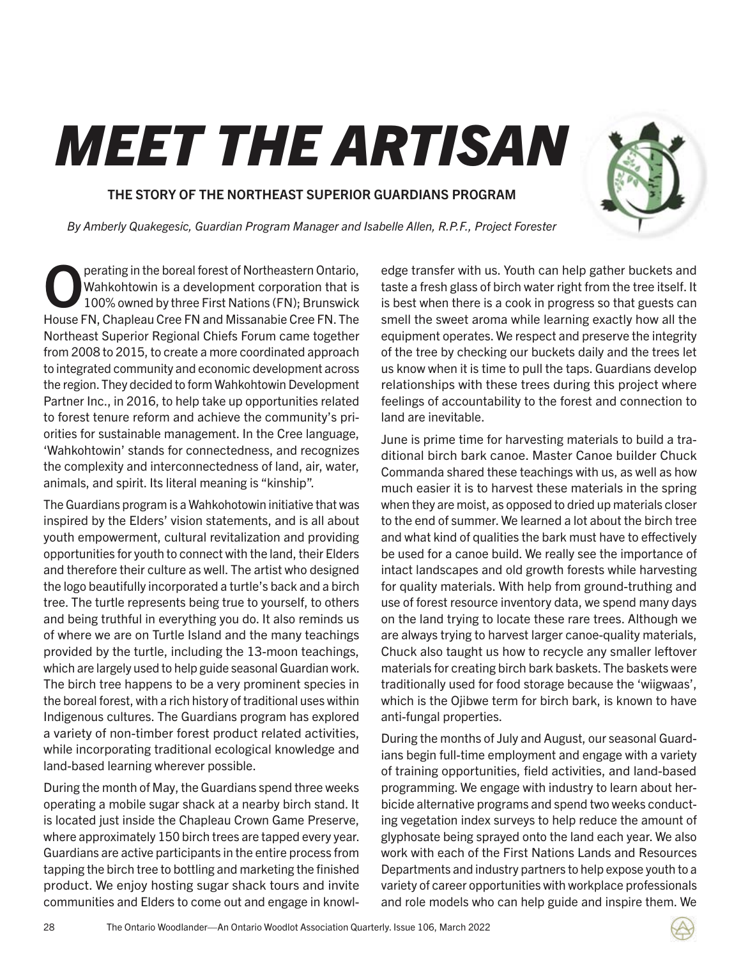## MEET THE ARTISAN

## THE STORY OF THE NORTHEAST SUPERIOR GUARDIANS PROGRAM

By Amberly Quakegesic, Guardian Program Manager and Isabelle Allen, R.P.F., Project Forester

**Operating in the boreal forest of Northeastern Ontario,<br>Wahkohtowin is a development corporation that is<br>100% owned by three First Nations (FN): Brunswick** Wahkohtowin is a development corporation that is 100% owned by three First Nations (FN); Brunswick House FN, Chapleau Cree FN and Missanabie Cree FN. The Northeast Superior Regional Chiefs Forum came together from 2008 to 2015, to create a more coordinated approach to integrated community and economic development across the region. They decided to form Wahkohtowin Development Partner Inc., in 2016, to help take up opportunities related to forest tenure reform and achieve the community's priorities for sustainable management. In the Cree language, 'Wahkohtowin' stands for connectedness, and recognizes the complexity and interconnectedness of land, air, water, animals, and spirit. Its literal meaning is "kinship".

The Guardians program is a Wahkohotowin initiative that was inspired by the Elders' vision statements, and is all about youth empowerment, cultural revitalization and providing opportunities for youth to connect with the land, their Elders and therefore their culture as well. The artist who designed the logo beautifully incorporated a turtle's back and a birch tree. The turtle represents being true to yourself, to others and being truthful in everything you do. It also reminds us of where we are on Turtle Island and the many teachings provided by the turtle, including the 13-moon teachings, which are largely used to help guide seasonal Guardian work. The birch tree happens to be a very prominent species in the boreal forest, with a rich history of traditional uses within Indigenous cultures. The Guardians program has explored a variety of non-timber forest product related activities, while incorporating traditional ecological knowledge and land-based learning wherever possible.

During the month of May, the Guardians spend three weeks operating a mobile sugar shack at a nearby birch stand. It is located just inside the Chapleau Crown Game Preserve, where approximately 150 birch trees are tapped every year. Guardians are active participants in the entire process from tapping the birch tree to bottling and marketing the finished product. We enjoy hosting sugar shack tours and invite communities and Elders to come out and engage in knowledge transfer with us. Youth can help gather buckets and taste a fresh glass of birch water right from the tree itself. It is best when there is a cook in progress so that guests can smell the sweet aroma while learning exactly how all the equipment operates. We respect and preserve the integrity of the tree by checking our buckets daily and the trees let us know when it is time to pull the taps. Guardians develop relationships with these trees during this project where feelings of accountability to the forest and connection to land are inevitable.

June is prime time for harvesting materials to build a traditional birch bark canoe. Master Canoe builder Chuck Commanda shared these teachings with us, as well as how much easier it is to harvest these materials in the spring when they are moist, as opposed to dried up materials closer to the end of summer. We learned a lot about the birch tree and what kind of qualities the bark must have to effectively be used for a canoe build. We really see the importance of intact landscapes and old growth forests while harvesting for quality materials. With help from ground-truthing and use of forest resource inventory data, we spend many days on the land trying to locate these rare trees. Although we are always trying to harvest larger canoe-quality materials, Chuck also taught us how to recycle any smaller leftover materials for creating birch bark baskets. The baskets were traditionally used for food storage because the 'wiigwaas', which is the Ojibwe term for birch bark, is known to have anti-fungal properties.

During the months of July and August, our seasonal Guardians begin full-time employment and engage with a variety of training opportunities, field activities, and land-based programming. We engage with industry to learn about herbicide alternative programs and spend two weeks conducting vegetation index surveys to help reduce the amount of glyphosate being sprayed onto the land each year. We also work with each of the First Nations Lands and Resources Departments and industry partners to help expose youth to a variety of career opportunities with workplace professionals and role models who can help guide and inspire them. We